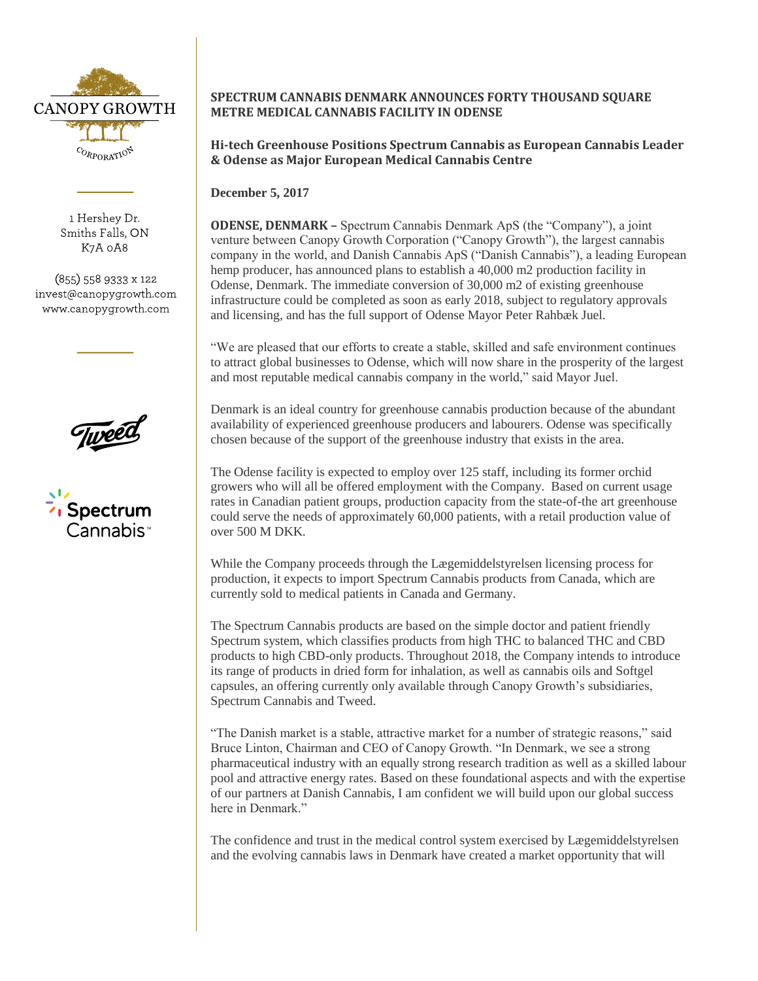

1 Hershey Dr. Smiths Falls, ON K7A 0A8

 $(855)$  558 9333 x 122 invest@canopygrowth.com www.canopygrowth.com



## **SPECTRUM CANNABIS DENMARK ANNOUNCES FORTY THOUSAND SQUARE METRE MEDICAL CANNABIS FACILITY IN ODENSE**

**Hi-tech Greenhouse Positions Spectrum Cannabis as European Cannabis Leader & Odense as Major European Medical Cannabis Centre**

**December 5, 2017**

**ODENSE, DENMARK –** Spectrum Cannabis Denmark ApS (the "Company"), a joint venture between Canopy Growth Corporation ("Canopy Growth"), the largest cannabis company in the world, and Danish Cannabis ApS ("Danish Cannabis"), a leading European hemp producer, has announced plans to establish a 40,000 m2 production facility in Odense, Denmark. The immediate conversion of 30,000 m2 of existing greenhouse infrastructure could be completed as soon as early 2018, subject to regulatory approvals and licensing, and has the full support of Odense Mayor Peter Rahbæk Juel.

"We are pleased that our efforts to create a stable, skilled and safe environment continues to attract global businesses to Odense, which will now share in the prosperity of the largest and most reputable medical cannabis company in the world," said Mayor Juel.

Denmark is an ideal country for greenhouse cannabis production because of the abundant availability of experienced greenhouse producers and labourers. Odense was specifically chosen because of the support of the greenhouse industry that exists in the area.

The Odense facility is expected to employ over 125 staff, including its former orchid growers who will all be offered employment with the Company. Based on current usage rates in Canadian patient groups, production capacity from the state-of-the art greenhouse could serve the needs of approximately 60,000 patients, with a retail production value of over 500 M DKK.

While the Company proceeds through the Lægemiddelstyrelsen licensing process for production, it expects to import Spectrum Cannabis products from Canada, which are currently sold to medical patients in Canada and Germany.

The Spectrum Cannabis products are based on the simple doctor and patient friendly Spectrum system, which classifies products from high THC to balanced THC and CBD products to high CBD-only products. Throughout 2018, the Company intends to introduce its range of products in dried form for inhalation, as well as cannabis oils and Softgel capsules, an offering currently only available through Canopy Growth's subsidiaries, Spectrum Cannabis and Tweed.

"The Danish market is a stable, attractive market for a number of strategic reasons," said Bruce Linton, Chairman and CEO of Canopy Growth. "In Denmark, we see a strong pharmaceutical industry with an equally strong research tradition as well as a skilled labour pool and attractive energy rates. Based on these foundational aspects and with the expertise of our partners at Danish Cannabis, I am confident we will build upon our global success here in Denmark."

The confidence and trust in the medical control system exercised by Lægemiddelstyrelsen and the evolving cannabis laws in Denmark have created a market opportunity that will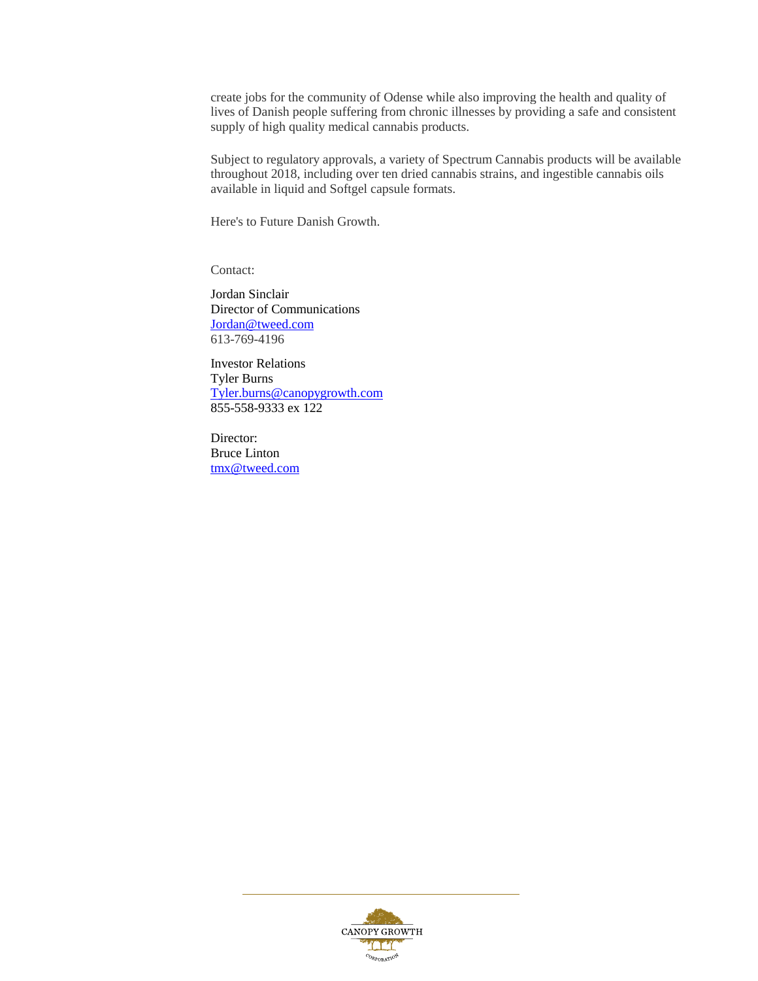create jobs for the community of Odense while also improving the health and quality of lives of Danish people suffering from chronic illnesses by providing a safe and consistent supply of high quality medical cannabis products.

Subject to regulatory approvals, a variety of Spectrum Cannabis products will be available throughout 2018, including over ten dried cannabis strains, and ingestible cannabis oils available in liquid and Softgel capsule formats.

Here's to Future Danish Growth.

Contact:

Jordan Sinclair Director of Communications [Jordan@tweed.com](mailto:Jordan@tweed.com) 613-769-4196

Investor Relations Tyler Burns [Tyler.burns@canopygrowth.com](mailto:Tyler.burns@canopygrowth.com) 855-558-9333 ex 122

Director: Bruce Linton [tmx@tweed.com](mailto:tmx@tweed.com)